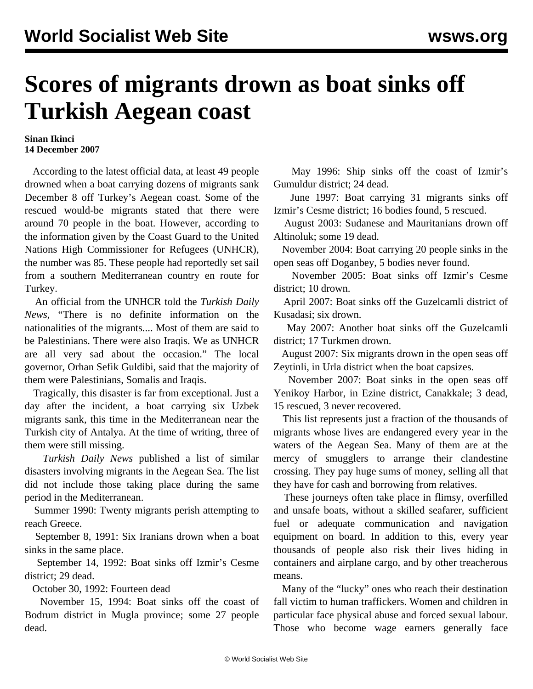## **Scores of migrants drown as boat sinks off Turkish Aegean coast**

## **Sinan Ikinci 14 December 2007**

 According to the latest official data, at least 49 people drowned when a boat carrying dozens of migrants sank December 8 off Turkey's Aegean coast. Some of the rescued would-be migrants stated that there were around 70 people in the boat. However, according to the information given by the Coast Guard to the United Nations High Commissioner for Refugees (UNHCR), the number was 85. These people had reportedly set sail from a southern Mediterranean country en route for Turkey.

 An official from the UNHCR told the *Turkish Daily News*, "There is no definite information on the nationalities of the migrants.... Most of them are said to be Palestinians. There were also Iraqis. We as UNHCR are all very sad about the occasion." The local governor, Orhan Sefik Guldibi, said that the majority of them were Palestinians, Somalis and Iraqis.

 Tragically, this disaster is far from exceptional. Just a day after the incident, a boat carrying six Uzbek migrants sank, this time in the Mediterranean near the Turkish city of Antalya. At the time of writing, three of them were still missing.

 *Turkish Daily News* published a list of similar disasters involving migrants in the Aegean Sea. The list did not include those taking place during the same period in the Mediterranean.

 Summer 1990: Twenty migrants perish attempting to reach Greece.

 September 8, 1991: Six Iranians drown when a boat sinks in the same place.

 September 14, 1992: Boat sinks off Izmir's Cesme district; 29 dead.

October 30, 1992: Fourteen dead

 November 15, 1994: Boat sinks off the coast of Bodrum district in Mugla province; some 27 people dead.

 May 1996: Ship sinks off the coast of Izmir's Gumuldur district; 24 dead.

 June 1997: Boat carrying 31 migrants sinks off Izmir's Cesme district; 16 bodies found, 5 rescued.

 August 2003: Sudanese and Mauritanians drown off Altinoluk; some 19 dead.

 November 2004: Boat carrying 20 people sinks in the open seas off Doganbey, 5 bodies never found.

 November 2005: Boat sinks off Izmir's Cesme district; 10 drown.

 April 2007: Boat sinks off the Guzelcamli district of Kusadasi; six drown.

 May 2007: Another boat sinks off the Guzelcamli district; 17 Turkmen drown.

 August 2007: Six migrants drown in the open seas off Zeytinli, in Urla district when the boat capsizes.

 November 2007: Boat sinks in the open seas off Yenikoy Harbor, in Ezine district, Canakkale; 3 dead, 15 rescued, 3 never recovered.

 This list represents just a fraction of the thousands of migrants whose lives are endangered every year in the waters of the Aegean Sea. Many of them are at the mercy of smugglers to arrange their clandestine crossing. They pay huge sums of money, selling all that they have for cash and borrowing from relatives.

 These journeys often take place in flimsy, overfilled and unsafe boats, without a skilled seafarer, sufficient fuel or adequate communication and navigation equipment on board. In addition to this, every year thousands of people also risk their lives hiding in containers and airplane cargo, and by other treacherous means.

 Many of the "lucky" ones who reach their destination fall victim to human traffickers. Women and children in particular face physical abuse and forced sexual labour. Those who become wage earners generally face